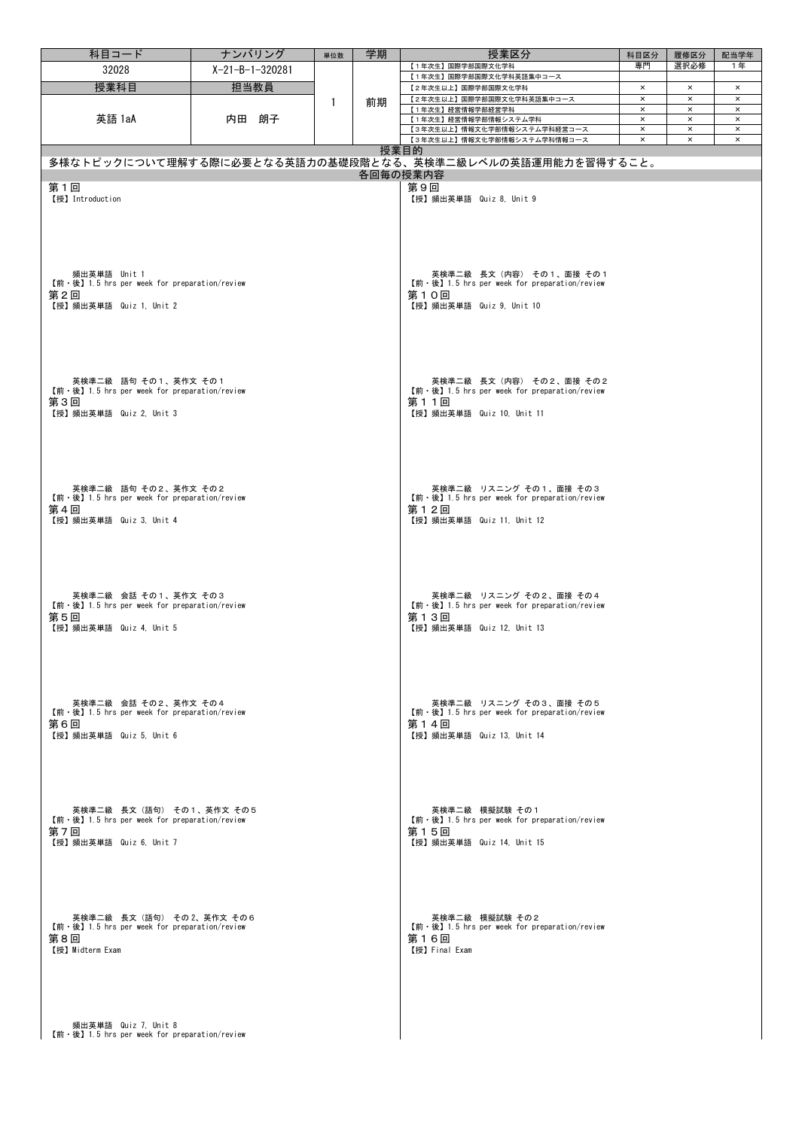| 科目コード                                                                                                                                             | ナンバリング            | 単位数 | 学期 | 授業区分                                                                                                            | 科目区分                             | 履修区分           | 配当学年                       |
|---------------------------------------------------------------------------------------------------------------------------------------------------|-------------------|-----|----|-----------------------------------------------------------------------------------------------------------------|----------------------------------|----------------|----------------------------|
| 32028                                                                                                                                             | $X-21-B-1-320281$ |     |    | 【1年次生】国際学部国際文化学科                                                                                                | 専門                               | 選択必修           | 1年                         |
| 授業科目                                                                                                                                              | 担当教員              |     |    | 【1年次生】国際学部国際文化学科英語集中コース                                                                                         | $\pmb{\times}$                   | $\pmb{\times}$ | $\pmb{\times}$             |
|                                                                                                                                                   |                   |     |    | 【2年次生以上】国際学部国際文化学科<br>【2年次生以上】国際学部国際文化学科英語集中コース                                                                 | $\pmb{\times}$                   | $\times$       | $\pmb{\times}$             |
|                                                                                                                                                   |                   | 1   | 前期 | 【1年次生】経営情報学部経営学科                                                                                                | $\pmb{\times}$                   | $\times$       | $\pmb{\times}$             |
| 英語 1aA                                                                                                                                            | 内田 朗子             |     |    | 【1年次生】経営情報学部情報システム学科                                                                                            | $\times$                         | $\times$       | $\pmb{\times}$             |
|                                                                                                                                                   |                   |     |    | 【3年次生以上】情報文化学部情報システム学科経営コース<br>【3年次生以上】情報文化学部情報システム学科情報コース                                                      | $\pmb{\times}$<br>$\pmb{\times}$ | $\times$<br>×  | $\times$<br>$\pmb{\times}$ |
|                                                                                                                                                   |                   |     |    | 授業目的                                                                                                            |                                  |                |                            |
|                                                                                                                                                   |                   |     |    | 多様なトピックについて理解する際に必要となる英語力の基礎段階となる、英検準二級レベルの英語運用能力を習得すること。                                                       |                                  |                |                            |
|                                                                                                                                                   |                   |     |    | 各回毎の授業内容                                                                                                        |                                  |                |                            |
| 第1回<br>【授】 Introduction                                                                                                                           |                   |     |    | 第9回<br>【授】頻出英単語 Quiz 8, Unit 9                                                                                  |                                  |                |                            |
| 頻出英単語 Unit 1<br>【前 · 後】1.5 hrs per week for preparation/review<br>第2回<br>【授】頻出英単語 Quiz 1, Unit 2                                                  |                   |     |    | 英検準二級 長文(内容) その1、面接 その1<br>【前·後】1.5 hrs per week for preparation/review<br>第10回<br>【授】頻出英単語 Quiz 9, Unit 10     |                                  |                |                            |
| 英検準二級 語句 その1、英作文 その1<br>【前·後】1.5 hrs per week for preparation/review<br>第3回<br>【授】頻出英単語 Quiz 2, Unit 3                                            |                   |     |    | 英検準二級 長文(内容) その2、面接 その2<br>【前 · 後】 1.5 hrs per week for preparation/review<br>第11回<br>【授】頻出英単語 Quiz 10, Unit 11 |                                  |                |                            |
| 英検準二級 語句 その2、英作文 その2<br>$[\hat{\mathfrak{m}} \cdot \mathfrak{F}]$ 1.5 hrs per week for preparation/review<br>第4回<br>【授】頻出英単語 Quiz 3, Unit 4       |                   |     |    | 英検準二級 リスニング その1、面接 その3<br>【前·後】1.5 hrs per week for preparation/review<br>第12回<br>【授】頻出英単語 Quiz 11, Unit 12     |                                  |                |                            |
| 英検準二級 会話 その1、英作文 その3<br>【前·後】1.5 hrs per week for preparation/review<br>第5回<br>【授】頻出英単語 Quiz 4, Unit 5                                            |                   |     |    | 英検準二級 リスニング その2、面接 その4<br>【前·後】1.5 hrs per week for preparation/review<br>第13回<br>【授】頻出英単語 Quiz 12,Unit 13      |                                  |                |                            |
| 英検準二級 会話 その2、英作文 その4<br>$[\hat{\mathfrak{m}} \cdot \hat{\mathfrak{G}}]$ 1.5 hrs per week for preparation/review<br>第6回<br>【授】頻出英単語 Quiz 5, Unit 6 |                   |     |    | 英検準二級 リスニング その3、面接 その5<br>【前·後】1.5 hrs per week for preparation/review<br>第14回<br>【授】頻出英単語 Quiz 13, Unit 14     |                                  |                |                            |
| 英検準二級 長文 (語句) その1、英作文 その5<br>$[\hat{\mathfrak{m}} \cdot \mathfrak{F}]$ 1.5 hrs per week for preparation/review<br>第7回<br>【授】頻出英単語 Quiz 6, Unit 7  |                   |     |    | 英検準二級 模擬試験 その1<br>【前·後】1.5 hrs per week for preparation/review<br>第15回<br>【授】頻出英単語 Quiz 14, Unit 15             |                                  |                |                            |
| 英検準二級 長文(語句) その2、英作文 その6<br>【前·後】1.5 hrs per week for preparation/review<br>第8回<br>【授】Midterm Exam                                                |                   |     |    | 英検準二級 模擬試験 その2<br>【前・後】1.5 hrs per week for preparation/review<br>第16回<br>【授】Final Exam                         |                                  |                |                            |
| 頻出英単語 Quiz 7, Unit 8<br>$[\hat{\mathfrak{m}} \cdot \mathfrak{F}]$ 1.5 hrs per week for preparation/review                                         |                   |     |    |                                                                                                                 |                                  |                |                            |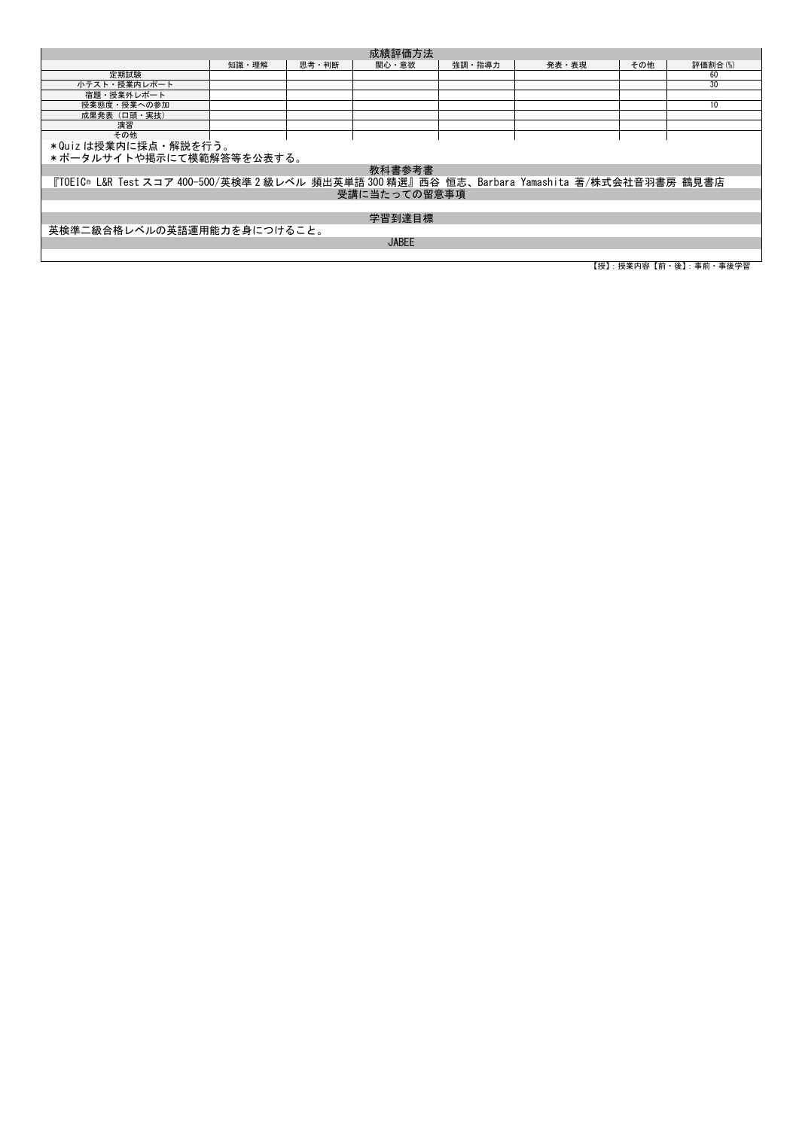|                                                                                              |       |       | 成績評価方法       |        |       |     |                         |
|----------------------------------------------------------------------------------------------|-------|-------|--------------|--------|-------|-----|-------------------------|
|                                                                                              | 知識 理解 | 思考·判断 | 関心・意欲        | 強調・指導力 | 発表・表現 | その他 | 評価割合(%)                 |
| 定期試験                                                                                         |       |       |              |        |       |     | 60                      |
| 小テスト・授業内レポート                                                                                 |       |       |              |        |       |     | 30                      |
| 宿題・授業外レポート                                                                                   |       |       |              |        |       |     |                         |
| 授業態度・授業への参加                                                                                  |       |       |              |        |       |     | 10                      |
| 成果発表 (口頭·実技)                                                                                 |       |       |              |        |       |     |                         |
| 演習                                                                                           |       |       |              |        |       |     |                         |
| その他                                                                                          |       |       |              |        |       |     |                         |
| *Quizは授業内に採点・解説を行う。                                                                          |       |       |              |        |       |     |                         |
| *ポータルサイトや掲示にて模範解答等を公表する。                                                                     |       |       |              |        |       |     |                         |
|                                                                                              |       |       | 教科書参考書       |        |       |     |                         |
| 『TOEIC® L&R Test スコア 400-500/英検準 2 級レベル 頻出英単語 300 精選』西谷 恒志、Barbara Yamashita 著/株式会社音羽書房 鶴見書店 |       |       |              |        |       |     |                         |
|                                                                                              |       |       | 受講に当たっての留意事項 |        |       |     |                         |
|                                                                                              |       |       |              |        |       |     |                         |
|                                                                                              |       |       | 学習到達目標       |        |       |     |                         |
| 英検準二級合格レベルの英語運用能力を身につけること。                                                                   |       |       |              |        |       |     |                         |
|                                                                                              |       |       | <b>JABEE</b> |        |       |     |                         |
|                                                                                              |       |       |              |        |       |     |                         |
|                                                                                              |       |       |              |        |       |     | 【授】: 授業内容【前・後】: 事前・事後学習 |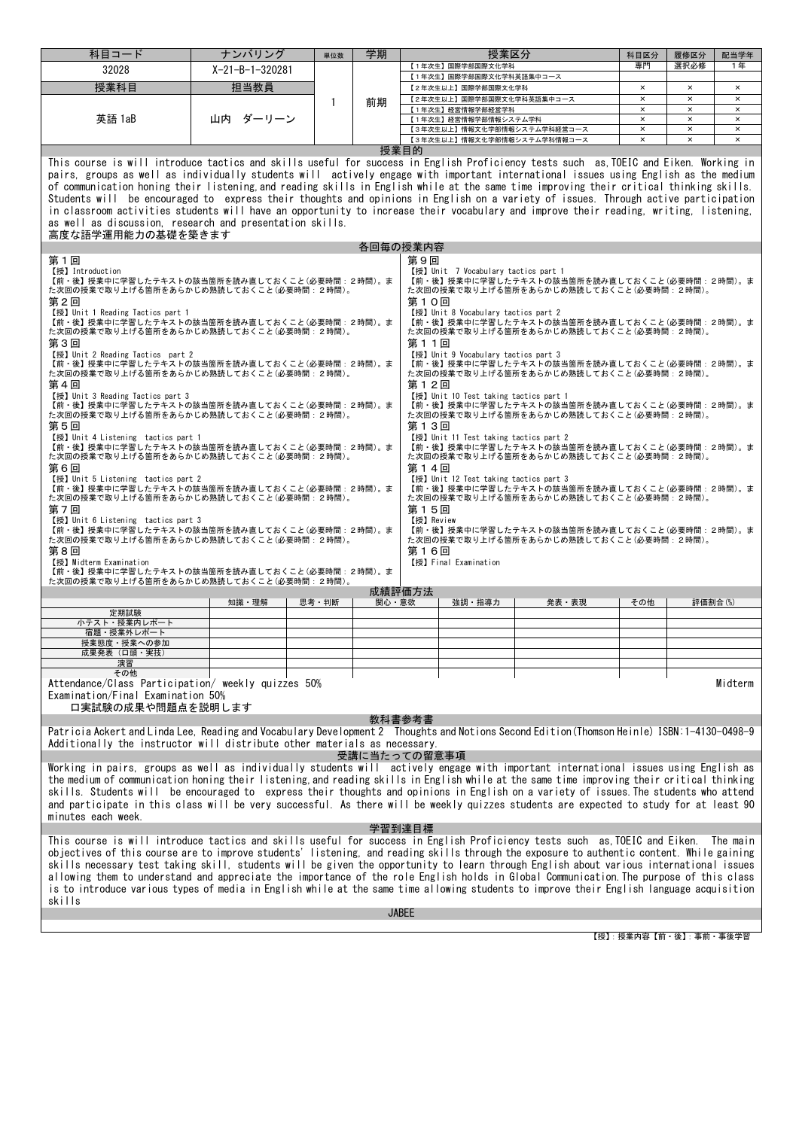| 【1年次生】国際学部国際文化学科<br>$X-21-B-1-320281$<br>32028<br>【1年次生】国際学部国際文化学科英語集中コース<br>担当教員<br>授業科目<br>$\times$<br>$\times$<br>$\times$<br>【2年次生以上】国際学部国際文化学科<br>【2年次生以上】国際学部国際文化学科英語集中コース<br>$\pmb{\times}$<br>$\times$<br>$\times$<br>前期<br>1<br>$\pmb{\times}$<br>$\boldsymbol{\mathsf{x}}$<br>【1年次生】経営情報学部経営学科<br>$\times$<br>英語 1aB<br>$\times$<br>$\times$<br>山内<br>ダーリーン<br>【1年次生】経営情報学部情報システム学科<br>$\times$<br>$\times$<br>【3年次生以上】情報文化学部情報システム学科経営コース<br>$\times$<br>$\times$<br>【3年次生以上】情報文化学部情報システム学科情報コース<br>$\times$<br>$\times$<br>$\times$<br>授業目的<br>This course is will introduce tactics and skills useful for success in English Proficiency tests such as TOEIC and Eiken. Working in<br>pairs, groups as well as individually students will actively engage with important international issues using English as the medium<br>of communication honing their listening and reading skills in English while at the same time improving their critical thinking skills.<br>Students will be encouraged to express their thoughts and opinions in English on a variety of issues. Through active participation<br>in classroom activities students will have an opportunity to increase their vocabulary and improve their reading, writing, listening,<br>as well as discussion, research and presentation skills.<br>高度な語学運用能力の基礎を築きます<br>各回毎の授業内容<br>第9回<br>第1回<br>【授】Introduction<br>【授】Unit 7 Vocabulary tactics part 1<br>【前・後】授業中に学習したテキストの該当箇所を読み直しておくこと (必要時間:2時間)。ま<br>【前・後】授業中に学習したテキストの該当箇所を読み直しておくこと(必要時間:2時間)。ま<br>た次回の授業で取り上げる箇所をあらかじめ熟読しておくこと(必要時間:2時間)。<br>た次回の授業で取り上げる箇所をあらかじめ熟読しておくこと(必要時間:2時間)。<br>第10回<br>第2回<br>【授】 Unit 1 Reading Tactics part 1<br>【授】 Unit 8 Vocabulary tactics part 2<br>【前・後】授業中に学習したテキストの該当箇所を読み直しておくこと(必要時間:2時間)。ま<br>【前・後】授業中に学習したテキストの該当箇所を読み直しておくこと(必要時間:2時間)。ま<br>た次回の授業で取り上げる箇所をあらかじめ熟読しておくこと(必要時間:2時間)。<br>た次回の授業で取り上げる箇所をあらかじめ熟読しておくこと(必要時間: 2時間)。<br>第3回<br>第11回<br>【授】Unit 2 Reading Tactics part 2<br>【授】Unit 9 Vocabulary tactics part 3<br>【前·後】授業中に学習したテキストの該当箇所を読み直しておくこと(必要時間:2時間)。ま<br>【前・後】授業中に学習したテキストの該当箇所を読み直しておくこと(必要時間:2時間)。ま<br>た次回の授業で取り上げる箇所をあらかじめ熟読しておくこと(必要時間:2時間)。<br>た次回の授業で取り上げる箇所をあらかじめ熟読しておくこと(必要時間: 2時間)。<br>第4回<br>第12回<br>【授】Unit 3 Reading Tactics part 3<br>【授】 Unit 10 Test taking tactics part 1<br>【前・後】授業中に学習したテキストの該当箇所を読み直しておくこと(必要時間:2時間)。ま<br>【前・後】授業中に学習したテキストの該当箇所を読み直しておくこと(必要時間: 2時間)。ま<br>た次回の授業で取り上げる箇所をあらかじめ熟読しておくこと(必要時間: 2時間)。<br>た次回の授業で取り上げる箇所をあらかじめ熟読しておくこと(必要時間:2時間)。<br>第5回<br>第13回<br>【授】Unit 4 Listening tactics part 1<br>【授】Unit 11 Test taking tactics part 2<br>【前・後】授業中に学習したテキストの該当箇所を読み直しておくこと (必要時間:2時間)。ま<br>【前・後】授業中に学習したテキストの該当箇所を読み直しておくこと(必要時間:2時間)。ま<br>た次回の授業で取り上げる箇所をあらかじめ熟読しておくこと(必要時間:2時間)。<br>た次回の授業で取り上げる箇所をあらかじめ熟読しておくこと(必要時間: 2時間)。<br>第6回<br>第14回<br>【授】Unit 5 Listening tactics part 2<br>【授】Unit 12 Test taking tactics part 3<br>【前・後】授業中に学習したテキストの該当箇所を読み直しておくこと (必要時間:2時間)。ま<br>【前・後】授業中に学習したテキストの該当箇所を読み直しておくこと(必要時間:2時間)。ま<br>た次回の授業で取り上げる箇所をあらかじめ熟読しておくこと(必要時間:2時間)。<br>た次回の授業で取り上げる箇所をあらかじめ熟読しておくこと(必要時間: 2時間)。<br>第7回<br>第15回<br>【授】Review<br>【授】Unit 6 Listening tactics part 3<br>【前・後】授業中に学習したテキストの該当箇所を読み直しておくこと (必要時間:2時間)。ま<br>【前・後】授業中に学習したテキストの該当箇所を読み直しておくこと(必要時間:2時間)。ま<br>た次回の授業で取り上げる箇所をあらかじめ熟読しておくこと(必要時間:2時間)。<br>た次回の授業で取り上げる箇所をあらかじめ熟読しておくこと(必要時間:2時間)。<br>第8回<br>第16回<br>【授】Midterm Examination<br>【授】Final Examination<br>【前·後】授業中に学習したテキストの該当箇所を読み直しておくこと(必要時間:2時間)。ま<br>た次回の授業で取り上げる箇所をあらかじめ熟読しておくこと(必要時間:2時間)。<br>成績評価方法<br>関心・意欲<br>知識・理解<br>思考・判断<br>強調・指導力<br>発表・表現<br>その他<br>評価割合(%)<br>定期試験<br>小テスト・授業内レポート<br>宿題・授業外レポート<br>授業態度・授業への参加<br>成果発表(口頭・実技)<br>演習<br>その他<br>Midterm<br>Attendance/Class Participation/ weekly quizzes 50%<br>Examination/Final Examination 50%<br>口実試験の成果や問題点を説明します<br>教科書参考書<br>Patricia Ackert and Linda Lee, Reading and Vocabulary Development 2 Thoughts and Notions Second Edition (Thomson Heinle) ISBN:1-4130-0498-9<br>Additionally the instructor will distribute other materials as necessary.<br>受講に当たっての留意事項<br>Working in pairs, groups as well as individually students will actively engage with important international issues using English as<br>the medium of communication honing their listening, and reading skills in English while at the same time improving their critical thinking<br>skills. Students will be encouraged to express their thoughts and opinions in English on a variety of issues. The students who attend<br>and participate in this class will be very successful. As there will be weekly quizzes students are expected to study for at least 90<br>minutes each week.<br>学習到達目標<br>This course is will introduce tactics and skills useful for success in English Proficiency tests such as TOEIC and Eiken.<br>The main<br>objectives of this course are to improve students' listening, and reading skills through the exposure to authentic content. While gaining<br>skills necessary test taking skill, students will be given the opportunity to learn through English about various international issues<br>allowing them to understand and appreciate the importance of the role English holds in Global Communication. The purpose of this class<br>is to introduce various types of media in English while at the same time allowing students to improve their English language acquisition | skills | 科目コード | ナンバリング | 単位数 | 学期 |  | 授業区分 |  | 科目区分 | 履修区分 | 配当学年 |  |
|----------------------------------------------------------------------------------------------------------------------------------------------------------------------------------------------------------------------------------------------------------------------------------------------------------------------------------------------------------------------------------------------------------------------------------------------------------------------------------------------------------------------------------------------------------------------------------------------------------------------------------------------------------------------------------------------------------------------------------------------------------------------------------------------------------------------------------------------------------------------------------------------------------------------------------------------------------------------------------------------------------------------------------------------------------------------------------------------------------------------------------------------------------------------------------------------------------------------------------------------------------------------------------------------------------------------------------------------------------------------------------------------------------------------------------------------------------------------------------------------------------------------------------------------------------------------------------------------------------------------------------------------------------------------------------------------------------------------------------------------------------------------------------------------------------------------------------------------------------------------------------------------------------------------------------------------------------------------------------------------------------------------------------------------------------------------------------------------------------------------------------------------------------------------------------------------------------------------------------------------------------------------------------------------------------------------------------------------------------------------------------------------------------------------------------------------------------------------------------------------------------------------------------------------------------------------------------------------------------------------------------------------------------------------------------------------------------------------------------------------------------------------------------------------------------------------------------------------------------------------------------------------------------------------------------------------------------------------------------------------------------------------------------------------------------------------------------------------------------------------------------------------------------------------------------------------------------------------------------------------------------------------------------------------------------------------------------------------------------------------------------------------------------------------------------------------------------------------------------------------------------------------------------------------------------------------------------------------------------------------------------------------------------------------------------------------------------------------------------------------------------------------------------------------------------------------------------------------------------------------------------------------------------------------------------------------------------------------------------------------------------------------------------------------------------------------------------------------------------------------------------------------------------------------------------------------------------------------------------------------------------------------------------------------------------------------------------------------------------------------------------------------------------------------------------------------------------------------------------------------------------------------------------------------------------------------------------------------------------------------------------------------------------------------------------------------------------------------------------------------------------------------------------------------------------------------------------------------------------------------------------------------------------------------------------------------------------------------------------------------------------------------------------------------------------------------------------------------------------------------------------------------------------------------------------------------------------------------------------------------------------------------------------------------------------------------------------------------------------------|--------|-------|--------|-----|----|--|------|--|------|------|------|--|
|                                                                                                                                                                                                                                                                                                                                                                                                                                                                                                                                                                                                                                                                                                                                                                                                                                                                                                                                                                                                                                                                                                                                                                                                                                                                                                                                                                                                                                                                                                                                                                                                                                                                                                                                                                                                                                                                                                                                                                                                                                                                                                                                                                                                                                                                                                                                                                                                                                                                                                                                                                                                                                                                                                                                                                                                                                                                                                                                                                                                                                                                                                                                                                                                                                                                                                                                                                                                                                                                                                                                                                                                                                                                                                                                                                                                                                                                                                                                                                                                                                                                                                                                                                                                                                                                                                                                                                                                                                                                                                                                                                                                                                                                                                                                                                                                                                                                                                                                                                                                                                                                                                                                                                                                                                                                                                                                                                |        |       |        |     |    |  |      |  | 専門   | 選択必修 | 1年   |  |
|                                                                                                                                                                                                                                                                                                                                                                                                                                                                                                                                                                                                                                                                                                                                                                                                                                                                                                                                                                                                                                                                                                                                                                                                                                                                                                                                                                                                                                                                                                                                                                                                                                                                                                                                                                                                                                                                                                                                                                                                                                                                                                                                                                                                                                                                                                                                                                                                                                                                                                                                                                                                                                                                                                                                                                                                                                                                                                                                                                                                                                                                                                                                                                                                                                                                                                                                                                                                                                                                                                                                                                                                                                                                                                                                                                                                                                                                                                                                                                                                                                                                                                                                                                                                                                                                                                                                                                                                                                                                                                                                                                                                                                                                                                                                                                                                                                                                                                                                                                                                                                                                                                                                                                                                                                                                                                                                                                |        |       |        |     |    |  |      |  |      |      |      |  |
|                                                                                                                                                                                                                                                                                                                                                                                                                                                                                                                                                                                                                                                                                                                                                                                                                                                                                                                                                                                                                                                                                                                                                                                                                                                                                                                                                                                                                                                                                                                                                                                                                                                                                                                                                                                                                                                                                                                                                                                                                                                                                                                                                                                                                                                                                                                                                                                                                                                                                                                                                                                                                                                                                                                                                                                                                                                                                                                                                                                                                                                                                                                                                                                                                                                                                                                                                                                                                                                                                                                                                                                                                                                                                                                                                                                                                                                                                                                                                                                                                                                                                                                                                                                                                                                                                                                                                                                                                                                                                                                                                                                                                                                                                                                                                                                                                                                                                                                                                                                                                                                                                                                                                                                                                                                                                                                                                                |        |       |        |     |    |  |      |  |      |      |      |  |
|                                                                                                                                                                                                                                                                                                                                                                                                                                                                                                                                                                                                                                                                                                                                                                                                                                                                                                                                                                                                                                                                                                                                                                                                                                                                                                                                                                                                                                                                                                                                                                                                                                                                                                                                                                                                                                                                                                                                                                                                                                                                                                                                                                                                                                                                                                                                                                                                                                                                                                                                                                                                                                                                                                                                                                                                                                                                                                                                                                                                                                                                                                                                                                                                                                                                                                                                                                                                                                                                                                                                                                                                                                                                                                                                                                                                                                                                                                                                                                                                                                                                                                                                                                                                                                                                                                                                                                                                                                                                                                                                                                                                                                                                                                                                                                                                                                                                                                                                                                                                                                                                                                                                                                                                                                                                                                                                                                |        |       |        |     |    |  |      |  |      |      |      |  |
|                                                                                                                                                                                                                                                                                                                                                                                                                                                                                                                                                                                                                                                                                                                                                                                                                                                                                                                                                                                                                                                                                                                                                                                                                                                                                                                                                                                                                                                                                                                                                                                                                                                                                                                                                                                                                                                                                                                                                                                                                                                                                                                                                                                                                                                                                                                                                                                                                                                                                                                                                                                                                                                                                                                                                                                                                                                                                                                                                                                                                                                                                                                                                                                                                                                                                                                                                                                                                                                                                                                                                                                                                                                                                                                                                                                                                                                                                                                                                                                                                                                                                                                                                                                                                                                                                                                                                                                                                                                                                                                                                                                                                                                                                                                                                                                                                                                                                                                                                                                                                                                                                                                                                                                                                                                                                                                                                                |        |       |        |     |    |  |      |  |      |      |      |  |
|                                                                                                                                                                                                                                                                                                                                                                                                                                                                                                                                                                                                                                                                                                                                                                                                                                                                                                                                                                                                                                                                                                                                                                                                                                                                                                                                                                                                                                                                                                                                                                                                                                                                                                                                                                                                                                                                                                                                                                                                                                                                                                                                                                                                                                                                                                                                                                                                                                                                                                                                                                                                                                                                                                                                                                                                                                                                                                                                                                                                                                                                                                                                                                                                                                                                                                                                                                                                                                                                                                                                                                                                                                                                                                                                                                                                                                                                                                                                                                                                                                                                                                                                                                                                                                                                                                                                                                                                                                                                                                                                                                                                                                                                                                                                                                                                                                                                                                                                                                                                                                                                                                                                                                                                                                                                                                                                                                |        |       |        |     |    |  |      |  |      |      |      |  |
|                                                                                                                                                                                                                                                                                                                                                                                                                                                                                                                                                                                                                                                                                                                                                                                                                                                                                                                                                                                                                                                                                                                                                                                                                                                                                                                                                                                                                                                                                                                                                                                                                                                                                                                                                                                                                                                                                                                                                                                                                                                                                                                                                                                                                                                                                                                                                                                                                                                                                                                                                                                                                                                                                                                                                                                                                                                                                                                                                                                                                                                                                                                                                                                                                                                                                                                                                                                                                                                                                                                                                                                                                                                                                                                                                                                                                                                                                                                                                                                                                                                                                                                                                                                                                                                                                                                                                                                                                                                                                                                                                                                                                                                                                                                                                                                                                                                                                                                                                                                                                                                                                                                                                                                                                                                                                                                                                                |        |       |        |     |    |  |      |  |      |      |      |  |
|                                                                                                                                                                                                                                                                                                                                                                                                                                                                                                                                                                                                                                                                                                                                                                                                                                                                                                                                                                                                                                                                                                                                                                                                                                                                                                                                                                                                                                                                                                                                                                                                                                                                                                                                                                                                                                                                                                                                                                                                                                                                                                                                                                                                                                                                                                                                                                                                                                                                                                                                                                                                                                                                                                                                                                                                                                                                                                                                                                                                                                                                                                                                                                                                                                                                                                                                                                                                                                                                                                                                                                                                                                                                                                                                                                                                                                                                                                                                                                                                                                                                                                                                                                                                                                                                                                                                                                                                                                                                                                                                                                                                                                                                                                                                                                                                                                                                                                                                                                                                                                                                                                                                                                                                                                                                                                                                                                |        |       |        |     |    |  |      |  |      |      |      |  |
|                                                                                                                                                                                                                                                                                                                                                                                                                                                                                                                                                                                                                                                                                                                                                                                                                                                                                                                                                                                                                                                                                                                                                                                                                                                                                                                                                                                                                                                                                                                                                                                                                                                                                                                                                                                                                                                                                                                                                                                                                                                                                                                                                                                                                                                                                                                                                                                                                                                                                                                                                                                                                                                                                                                                                                                                                                                                                                                                                                                                                                                                                                                                                                                                                                                                                                                                                                                                                                                                                                                                                                                                                                                                                                                                                                                                                                                                                                                                                                                                                                                                                                                                                                                                                                                                                                                                                                                                                                                                                                                                                                                                                                                                                                                                                                                                                                                                                                                                                                                                                                                                                                                                                                                                                                                                                                                                                                |        |       |        |     |    |  |      |  |      |      |      |  |
|                                                                                                                                                                                                                                                                                                                                                                                                                                                                                                                                                                                                                                                                                                                                                                                                                                                                                                                                                                                                                                                                                                                                                                                                                                                                                                                                                                                                                                                                                                                                                                                                                                                                                                                                                                                                                                                                                                                                                                                                                                                                                                                                                                                                                                                                                                                                                                                                                                                                                                                                                                                                                                                                                                                                                                                                                                                                                                                                                                                                                                                                                                                                                                                                                                                                                                                                                                                                                                                                                                                                                                                                                                                                                                                                                                                                                                                                                                                                                                                                                                                                                                                                                                                                                                                                                                                                                                                                                                                                                                                                                                                                                                                                                                                                                                                                                                                                                                                                                                                                                                                                                                                                                                                                                                                                                                                                                                |        |       |        |     |    |  |      |  |      |      |      |  |
|                                                                                                                                                                                                                                                                                                                                                                                                                                                                                                                                                                                                                                                                                                                                                                                                                                                                                                                                                                                                                                                                                                                                                                                                                                                                                                                                                                                                                                                                                                                                                                                                                                                                                                                                                                                                                                                                                                                                                                                                                                                                                                                                                                                                                                                                                                                                                                                                                                                                                                                                                                                                                                                                                                                                                                                                                                                                                                                                                                                                                                                                                                                                                                                                                                                                                                                                                                                                                                                                                                                                                                                                                                                                                                                                                                                                                                                                                                                                                                                                                                                                                                                                                                                                                                                                                                                                                                                                                                                                                                                                                                                                                                                                                                                                                                                                                                                                                                                                                                                                                                                                                                                                                                                                                                                                                                                                                                |        |       |        |     |    |  |      |  |      |      |      |  |
|                                                                                                                                                                                                                                                                                                                                                                                                                                                                                                                                                                                                                                                                                                                                                                                                                                                                                                                                                                                                                                                                                                                                                                                                                                                                                                                                                                                                                                                                                                                                                                                                                                                                                                                                                                                                                                                                                                                                                                                                                                                                                                                                                                                                                                                                                                                                                                                                                                                                                                                                                                                                                                                                                                                                                                                                                                                                                                                                                                                                                                                                                                                                                                                                                                                                                                                                                                                                                                                                                                                                                                                                                                                                                                                                                                                                                                                                                                                                                                                                                                                                                                                                                                                                                                                                                                                                                                                                                                                                                                                                                                                                                                                                                                                                                                                                                                                                                                                                                                                                                                                                                                                                                                                                                                                                                                                                                                |        |       |        |     |    |  |      |  |      |      |      |  |
|                                                                                                                                                                                                                                                                                                                                                                                                                                                                                                                                                                                                                                                                                                                                                                                                                                                                                                                                                                                                                                                                                                                                                                                                                                                                                                                                                                                                                                                                                                                                                                                                                                                                                                                                                                                                                                                                                                                                                                                                                                                                                                                                                                                                                                                                                                                                                                                                                                                                                                                                                                                                                                                                                                                                                                                                                                                                                                                                                                                                                                                                                                                                                                                                                                                                                                                                                                                                                                                                                                                                                                                                                                                                                                                                                                                                                                                                                                                                                                                                                                                                                                                                                                                                                                                                                                                                                                                                                                                                                                                                                                                                                                                                                                                                                                                                                                                                                                                                                                                                                                                                                                                                                                                                                                                                                                                                                                |        |       |        |     |    |  |      |  |      |      |      |  |
|                                                                                                                                                                                                                                                                                                                                                                                                                                                                                                                                                                                                                                                                                                                                                                                                                                                                                                                                                                                                                                                                                                                                                                                                                                                                                                                                                                                                                                                                                                                                                                                                                                                                                                                                                                                                                                                                                                                                                                                                                                                                                                                                                                                                                                                                                                                                                                                                                                                                                                                                                                                                                                                                                                                                                                                                                                                                                                                                                                                                                                                                                                                                                                                                                                                                                                                                                                                                                                                                                                                                                                                                                                                                                                                                                                                                                                                                                                                                                                                                                                                                                                                                                                                                                                                                                                                                                                                                                                                                                                                                                                                                                                                                                                                                                                                                                                                                                                                                                                                                                                                                                                                                                                                                                                                                                                                                                                |        |       |        |     |    |  |      |  |      |      |      |  |
|                                                                                                                                                                                                                                                                                                                                                                                                                                                                                                                                                                                                                                                                                                                                                                                                                                                                                                                                                                                                                                                                                                                                                                                                                                                                                                                                                                                                                                                                                                                                                                                                                                                                                                                                                                                                                                                                                                                                                                                                                                                                                                                                                                                                                                                                                                                                                                                                                                                                                                                                                                                                                                                                                                                                                                                                                                                                                                                                                                                                                                                                                                                                                                                                                                                                                                                                                                                                                                                                                                                                                                                                                                                                                                                                                                                                                                                                                                                                                                                                                                                                                                                                                                                                                                                                                                                                                                                                                                                                                                                                                                                                                                                                                                                                                                                                                                                                                                                                                                                                                                                                                                                                                                                                                                                                                                                                                                |        |       |        |     |    |  |      |  |      |      |      |  |
|                                                                                                                                                                                                                                                                                                                                                                                                                                                                                                                                                                                                                                                                                                                                                                                                                                                                                                                                                                                                                                                                                                                                                                                                                                                                                                                                                                                                                                                                                                                                                                                                                                                                                                                                                                                                                                                                                                                                                                                                                                                                                                                                                                                                                                                                                                                                                                                                                                                                                                                                                                                                                                                                                                                                                                                                                                                                                                                                                                                                                                                                                                                                                                                                                                                                                                                                                                                                                                                                                                                                                                                                                                                                                                                                                                                                                                                                                                                                                                                                                                                                                                                                                                                                                                                                                                                                                                                                                                                                                                                                                                                                                                                                                                                                                                                                                                                                                                                                                                                                                                                                                                                                                                                                                                                                                                                                                                |        |       |        |     |    |  |      |  |      |      |      |  |
|                                                                                                                                                                                                                                                                                                                                                                                                                                                                                                                                                                                                                                                                                                                                                                                                                                                                                                                                                                                                                                                                                                                                                                                                                                                                                                                                                                                                                                                                                                                                                                                                                                                                                                                                                                                                                                                                                                                                                                                                                                                                                                                                                                                                                                                                                                                                                                                                                                                                                                                                                                                                                                                                                                                                                                                                                                                                                                                                                                                                                                                                                                                                                                                                                                                                                                                                                                                                                                                                                                                                                                                                                                                                                                                                                                                                                                                                                                                                                                                                                                                                                                                                                                                                                                                                                                                                                                                                                                                                                                                                                                                                                                                                                                                                                                                                                                                                                                                                                                                                                                                                                                                                                                                                                                                                                                                                                                |        |       |        |     |    |  |      |  |      |      |      |  |
|                                                                                                                                                                                                                                                                                                                                                                                                                                                                                                                                                                                                                                                                                                                                                                                                                                                                                                                                                                                                                                                                                                                                                                                                                                                                                                                                                                                                                                                                                                                                                                                                                                                                                                                                                                                                                                                                                                                                                                                                                                                                                                                                                                                                                                                                                                                                                                                                                                                                                                                                                                                                                                                                                                                                                                                                                                                                                                                                                                                                                                                                                                                                                                                                                                                                                                                                                                                                                                                                                                                                                                                                                                                                                                                                                                                                                                                                                                                                                                                                                                                                                                                                                                                                                                                                                                                                                                                                                                                                                                                                                                                                                                                                                                                                                                                                                                                                                                                                                                                                                                                                                                                                                                                                                                                                                                                                                                |        |       |        |     |    |  |      |  |      |      |      |  |
|                                                                                                                                                                                                                                                                                                                                                                                                                                                                                                                                                                                                                                                                                                                                                                                                                                                                                                                                                                                                                                                                                                                                                                                                                                                                                                                                                                                                                                                                                                                                                                                                                                                                                                                                                                                                                                                                                                                                                                                                                                                                                                                                                                                                                                                                                                                                                                                                                                                                                                                                                                                                                                                                                                                                                                                                                                                                                                                                                                                                                                                                                                                                                                                                                                                                                                                                                                                                                                                                                                                                                                                                                                                                                                                                                                                                                                                                                                                                                                                                                                                                                                                                                                                                                                                                                                                                                                                                                                                                                                                                                                                                                                                                                                                                                                                                                                                                                                                                                                                                                                                                                                                                                                                                                                                                                                                                                                |        |       |        |     |    |  |      |  |      |      |      |  |
|                                                                                                                                                                                                                                                                                                                                                                                                                                                                                                                                                                                                                                                                                                                                                                                                                                                                                                                                                                                                                                                                                                                                                                                                                                                                                                                                                                                                                                                                                                                                                                                                                                                                                                                                                                                                                                                                                                                                                                                                                                                                                                                                                                                                                                                                                                                                                                                                                                                                                                                                                                                                                                                                                                                                                                                                                                                                                                                                                                                                                                                                                                                                                                                                                                                                                                                                                                                                                                                                                                                                                                                                                                                                                                                                                                                                                                                                                                                                                                                                                                                                                                                                                                                                                                                                                                                                                                                                                                                                                                                                                                                                                                                                                                                                                                                                                                                                                                                                                                                                                                                                                                                                                                                                                                                                                                                                                                |        |       |        |     |    |  |      |  |      |      |      |  |
|                                                                                                                                                                                                                                                                                                                                                                                                                                                                                                                                                                                                                                                                                                                                                                                                                                                                                                                                                                                                                                                                                                                                                                                                                                                                                                                                                                                                                                                                                                                                                                                                                                                                                                                                                                                                                                                                                                                                                                                                                                                                                                                                                                                                                                                                                                                                                                                                                                                                                                                                                                                                                                                                                                                                                                                                                                                                                                                                                                                                                                                                                                                                                                                                                                                                                                                                                                                                                                                                                                                                                                                                                                                                                                                                                                                                                                                                                                                                                                                                                                                                                                                                                                                                                                                                                                                                                                                                                                                                                                                                                                                                                                                                                                                                                                                                                                                                                                                                                                                                                                                                                                                                                                                                                                                                                                                                                                |        |       |        |     |    |  |      |  |      |      |      |  |
|                                                                                                                                                                                                                                                                                                                                                                                                                                                                                                                                                                                                                                                                                                                                                                                                                                                                                                                                                                                                                                                                                                                                                                                                                                                                                                                                                                                                                                                                                                                                                                                                                                                                                                                                                                                                                                                                                                                                                                                                                                                                                                                                                                                                                                                                                                                                                                                                                                                                                                                                                                                                                                                                                                                                                                                                                                                                                                                                                                                                                                                                                                                                                                                                                                                                                                                                                                                                                                                                                                                                                                                                                                                                                                                                                                                                                                                                                                                                                                                                                                                                                                                                                                                                                                                                                                                                                                                                                                                                                                                                                                                                                                                                                                                                                                                                                                                                                                                                                                                                                                                                                                                                                                                                                                                                                                                                                                |        |       |        |     |    |  |      |  |      |      |      |  |
|                                                                                                                                                                                                                                                                                                                                                                                                                                                                                                                                                                                                                                                                                                                                                                                                                                                                                                                                                                                                                                                                                                                                                                                                                                                                                                                                                                                                                                                                                                                                                                                                                                                                                                                                                                                                                                                                                                                                                                                                                                                                                                                                                                                                                                                                                                                                                                                                                                                                                                                                                                                                                                                                                                                                                                                                                                                                                                                                                                                                                                                                                                                                                                                                                                                                                                                                                                                                                                                                                                                                                                                                                                                                                                                                                                                                                                                                                                                                                                                                                                                                                                                                                                                                                                                                                                                                                                                                                                                                                                                                                                                                                                                                                                                                                                                                                                                                                                                                                                                                                                                                                                                                                                                                                                                                                                                                                                |        |       |        |     |    |  |      |  |      |      |      |  |
|                                                                                                                                                                                                                                                                                                                                                                                                                                                                                                                                                                                                                                                                                                                                                                                                                                                                                                                                                                                                                                                                                                                                                                                                                                                                                                                                                                                                                                                                                                                                                                                                                                                                                                                                                                                                                                                                                                                                                                                                                                                                                                                                                                                                                                                                                                                                                                                                                                                                                                                                                                                                                                                                                                                                                                                                                                                                                                                                                                                                                                                                                                                                                                                                                                                                                                                                                                                                                                                                                                                                                                                                                                                                                                                                                                                                                                                                                                                                                                                                                                                                                                                                                                                                                                                                                                                                                                                                                                                                                                                                                                                                                                                                                                                                                                                                                                                                                                                                                                                                                                                                                                                                                                                                                                                                                                                                                                |        |       |        |     |    |  |      |  |      |      |      |  |
|                                                                                                                                                                                                                                                                                                                                                                                                                                                                                                                                                                                                                                                                                                                                                                                                                                                                                                                                                                                                                                                                                                                                                                                                                                                                                                                                                                                                                                                                                                                                                                                                                                                                                                                                                                                                                                                                                                                                                                                                                                                                                                                                                                                                                                                                                                                                                                                                                                                                                                                                                                                                                                                                                                                                                                                                                                                                                                                                                                                                                                                                                                                                                                                                                                                                                                                                                                                                                                                                                                                                                                                                                                                                                                                                                                                                                                                                                                                                                                                                                                                                                                                                                                                                                                                                                                                                                                                                                                                                                                                                                                                                                                                                                                                                                                                                                                                                                                                                                                                                                                                                                                                                                                                                                                                                                                                                                                |        |       |        |     |    |  |      |  |      |      |      |  |
|                                                                                                                                                                                                                                                                                                                                                                                                                                                                                                                                                                                                                                                                                                                                                                                                                                                                                                                                                                                                                                                                                                                                                                                                                                                                                                                                                                                                                                                                                                                                                                                                                                                                                                                                                                                                                                                                                                                                                                                                                                                                                                                                                                                                                                                                                                                                                                                                                                                                                                                                                                                                                                                                                                                                                                                                                                                                                                                                                                                                                                                                                                                                                                                                                                                                                                                                                                                                                                                                                                                                                                                                                                                                                                                                                                                                                                                                                                                                                                                                                                                                                                                                                                                                                                                                                                                                                                                                                                                                                                                                                                                                                                                                                                                                                                                                                                                                                                                                                                                                                                                                                                                                                                                                                                                                                                                                                                |        |       |        |     |    |  |      |  |      |      |      |  |
|                                                                                                                                                                                                                                                                                                                                                                                                                                                                                                                                                                                                                                                                                                                                                                                                                                                                                                                                                                                                                                                                                                                                                                                                                                                                                                                                                                                                                                                                                                                                                                                                                                                                                                                                                                                                                                                                                                                                                                                                                                                                                                                                                                                                                                                                                                                                                                                                                                                                                                                                                                                                                                                                                                                                                                                                                                                                                                                                                                                                                                                                                                                                                                                                                                                                                                                                                                                                                                                                                                                                                                                                                                                                                                                                                                                                                                                                                                                                                                                                                                                                                                                                                                                                                                                                                                                                                                                                                                                                                                                                                                                                                                                                                                                                                                                                                                                                                                                                                                                                                                                                                                                                                                                                                                                                                                                                                                |        |       |        |     |    |  |      |  |      |      |      |  |
|                                                                                                                                                                                                                                                                                                                                                                                                                                                                                                                                                                                                                                                                                                                                                                                                                                                                                                                                                                                                                                                                                                                                                                                                                                                                                                                                                                                                                                                                                                                                                                                                                                                                                                                                                                                                                                                                                                                                                                                                                                                                                                                                                                                                                                                                                                                                                                                                                                                                                                                                                                                                                                                                                                                                                                                                                                                                                                                                                                                                                                                                                                                                                                                                                                                                                                                                                                                                                                                                                                                                                                                                                                                                                                                                                                                                                                                                                                                                                                                                                                                                                                                                                                                                                                                                                                                                                                                                                                                                                                                                                                                                                                                                                                                                                                                                                                                                                                                                                                                                                                                                                                                                                                                                                                                                                                                                                                |        |       |        |     |    |  |      |  |      |      |      |  |
|                                                                                                                                                                                                                                                                                                                                                                                                                                                                                                                                                                                                                                                                                                                                                                                                                                                                                                                                                                                                                                                                                                                                                                                                                                                                                                                                                                                                                                                                                                                                                                                                                                                                                                                                                                                                                                                                                                                                                                                                                                                                                                                                                                                                                                                                                                                                                                                                                                                                                                                                                                                                                                                                                                                                                                                                                                                                                                                                                                                                                                                                                                                                                                                                                                                                                                                                                                                                                                                                                                                                                                                                                                                                                                                                                                                                                                                                                                                                                                                                                                                                                                                                                                                                                                                                                                                                                                                                                                                                                                                                                                                                                                                                                                                                                                                                                                                                                                                                                                                                                                                                                                                                                                                                                                                                                                                                                                |        |       |        |     |    |  |      |  |      |      |      |  |
|                                                                                                                                                                                                                                                                                                                                                                                                                                                                                                                                                                                                                                                                                                                                                                                                                                                                                                                                                                                                                                                                                                                                                                                                                                                                                                                                                                                                                                                                                                                                                                                                                                                                                                                                                                                                                                                                                                                                                                                                                                                                                                                                                                                                                                                                                                                                                                                                                                                                                                                                                                                                                                                                                                                                                                                                                                                                                                                                                                                                                                                                                                                                                                                                                                                                                                                                                                                                                                                                                                                                                                                                                                                                                                                                                                                                                                                                                                                                                                                                                                                                                                                                                                                                                                                                                                                                                                                                                                                                                                                                                                                                                                                                                                                                                                                                                                                                                                                                                                                                                                                                                                                                                                                                                                                                                                                                                                |        |       |        |     |    |  |      |  |      |      |      |  |
|                                                                                                                                                                                                                                                                                                                                                                                                                                                                                                                                                                                                                                                                                                                                                                                                                                                                                                                                                                                                                                                                                                                                                                                                                                                                                                                                                                                                                                                                                                                                                                                                                                                                                                                                                                                                                                                                                                                                                                                                                                                                                                                                                                                                                                                                                                                                                                                                                                                                                                                                                                                                                                                                                                                                                                                                                                                                                                                                                                                                                                                                                                                                                                                                                                                                                                                                                                                                                                                                                                                                                                                                                                                                                                                                                                                                                                                                                                                                                                                                                                                                                                                                                                                                                                                                                                                                                                                                                                                                                                                                                                                                                                                                                                                                                                                                                                                                                                                                                                                                                                                                                                                                                                                                                                                                                                                                                                |        |       |        |     |    |  |      |  |      |      |      |  |
|                                                                                                                                                                                                                                                                                                                                                                                                                                                                                                                                                                                                                                                                                                                                                                                                                                                                                                                                                                                                                                                                                                                                                                                                                                                                                                                                                                                                                                                                                                                                                                                                                                                                                                                                                                                                                                                                                                                                                                                                                                                                                                                                                                                                                                                                                                                                                                                                                                                                                                                                                                                                                                                                                                                                                                                                                                                                                                                                                                                                                                                                                                                                                                                                                                                                                                                                                                                                                                                                                                                                                                                                                                                                                                                                                                                                                                                                                                                                                                                                                                                                                                                                                                                                                                                                                                                                                                                                                                                                                                                                                                                                                                                                                                                                                                                                                                                                                                                                                                                                                                                                                                                                                                                                                                                                                                                                                                |        |       |        |     |    |  |      |  |      |      |      |  |
|                                                                                                                                                                                                                                                                                                                                                                                                                                                                                                                                                                                                                                                                                                                                                                                                                                                                                                                                                                                                                                                                                                                                                                                                                                                                                                                                                                                                                                                                                                                                                                                                                                                                                                                                                                                                                                                                                                                                                                                                                                                                                                                                                                                                                                                                                                                                                                                                                                                                                                                                                                                                                                                                                                                                                                                                                                                                                                                                                                                                                                                                                                                                                                                                                                                                                                                                                                                                                                                                                                                                                                                                                                                                                                                                                                                                                                                                                                                                                                                                                                                                                                                                                                                                                                                                                                                                                                                                                                                                                                                                                                                                                                                                                                                                                                                                                                                                                                                                                                                                                                                                                                                                                                                                                                                                                                                                                                |        |       |        |     |    |  |      |  |      |      |      |  |
|                                                                                                                                                                                                                                                                                                                                                                                                                                                                                                                                                                                                                                                                                                                                                                                                                                                                                                                                                                                                                                                                                                                                                                                                                                                                                                                                                                                                                                                                                                                                                                                                                                                                                                                                                                                                                                                                                                                                                                                                                                                                                                                                                                                                                                                                                                                                                                                                                                                                                                                                                                                                                                                                                                                                                                                                                                                                                                                                                                                                                                                                                                                                                                                                                                                                                                                                                                                                                                                                                                                                                                                                                                                                                                                                                                                                                                                                                                                                                                                                                                                                                                                                                                                                                                                                                                                                                                                                                                                                                                                                                                                                                                                                                                                                                                                                                                                                                                                                                                                                                                                                                                                                                                                                                                                                                                                                                                |        |       |        |     |    |  |      |  |      |      |      |  |
|                                                                                                                                                                                                                                                                                                                                                                                                                                                                                                                                                                                                                                                                                                                                                                                                                                                                                                                                                                                                                                                                                                                                                                                                                                                                                                                                                                                                                                                                                                                                                                                                                                                                                                                                                                                                                                                                                                                                                                                                                                                                                                                                                                                                                                                                                                                                                                                                                                                                                                                                                                                                                                                                                                                                                                                                                                                                                                                                                                                                                                                                                                                                                                                                                                                                                                                                                                                                                                                                                                                                                                                                                                                                                                                                                                                                                                                                                                                                                                                                                                                                                                                                                                                                                                                                                                                                                                                                                                                                                                                                                                                                                                                                                                                                                                                                                                                                                                                                                                                                                                                                                                                                                                                                                                                                                                                                                                |        |       |        |     |    |  |      |  |      |      |      |  |
|                                                                                                                                                                                                                                                                                                                                                                                                                                                                                                                                                                                                                                                                                                                                                                                                                                                                                                                                                                                                                                                                                                                                                                                                                                                                                                                                                                                                                                                                                                                                                                                                                                                                                                                                                                                                                                                                                                                                                                                                                                                                                                                                                                                                                                                                                                                                                                                                                                                                                                                                                                                                                                                                                                                                                                                                                                                                                                                                                                                                                                                                                                                                                                                                                                                                                                                                                                                                                                                                                                                                                                                                                                                                                                                                                                                                                                                                                                                                                                                                                                                                                                                                                                                                                                                                                                                                                                                                                                                                                                                                                                                                                                                                                                                                                                                                                                                                                                                                                                                                                                                                                                                                                                                                                                                                                                                                                                |        |       |        |     |    |  |      |  |      |      |      |  |
|                                                                                                                                                                                                                                                                                                                                                                                                                                                                                                                                                                                                                                                                                                                                                                                                                                                                                                                                                                                                                                                                                                                                                                                                                                                                                                                                                                                                                                                                                                                                                                                                                                                                                                                                                                                                                                                                                                                                                                                                                                                                                                                                                                                                                                                                                                                                                                                                                                                                                                                                                                                                                                                                                                                                                                                                                                                                                                                                                                                                                                                                                                                                                                                                                                                                                                                                                                                                                                                                                                                                                                                                                                                                                                                                                                                                                                                                                                                                                                                                                                                                                                                                                                                                                                                                                                                                                                                                                                                                                                                                                                                                                                                                                                                                                                                                                                                                                                                                                                                                                                                                                                                                                                                                                                                                                                                                                                |        |       |        |     |    |  |      |  |      |      |      |  |
|                                                                                                                                                                                                                                                                                                                                                                                                                                                                                                                                                                                                                                                                                                                                                                                                                                                                                                                                                                                                                                                                                                                                                                                                                                                                                                                                                                                                                                                                                                                                                                                                                                                                                                                                                                                                                                                                                                                                                                                                                                                                                                                                                                                                                                                                                                                                                                                                                                                                                                                                                                                                                                                                                                                                                                                                                                                                                                                                                                                                                                                                                                                                                                                                                                                                                                                                                                                                                                                                                                                                                                                                                                                                                                                                                                                                                                                                                                                                                                                                                                                                                                                                                                                                                                                                                                                                                                                                                                                                                                                                                                                                                                                                                                                                                                                                                                                                                                                                                                                                                                                                                                                                                                                                                                                                                                                                                                |        |       |        |     |    |  |      |  |      |      |      |  |
|                                                                                                                                                                                                                                                                                                                                                                                                                                                                                                                                                                                                                                                                                                                                                                                                                                                                                                                                                                                                                                                                                                                                                                                                                                                                                                                                                                                                                                                                                                                                                                                                                                                                                                                                                                                                                                                                                                                                                                                                                                                                                                                                                                                                                                                                                                                                                                                                                                                                                                                                                                                                                                                                                                                                                                                                                                                                                                                                                                                                                                                                                                                                                                                                                                                                                                                                                                                                                                                                                                                                                                                                                                                                                                                                                                                                                                                                                                                                                                                                                                                                                                                                                                                                                                                                                                                                                                                                                                                                                                                                                                                                                                                                                                                                                                                                                                                                                                                                                                                                                                                                                                                                                                                                                                                                                                                                                                |        |       |        |     |    |  |      |  |      |      |      |  |
|                                                                                                                                                                                                                                                                                                                                                                                                                                                                                                                                                                                                                                                                                                                                                                                                                                                                                                                                                                                                                                                                                                                                                                                                                                                                                                                                                                                                                                                                                                                                                                                                                                                                                                                                                                                                                                                                                                                                                                                                                                                                                                                                                                                                                                                                                                                                                                                                                                                                                                                                                                                                                                                                                                                                                                                                                                                                                                                                                                                                                                                                                                                                                                                                                                                                                                                                                                                                                                                                                                                                                                                                                                                                                                                                                                                                                                                                                                                                                                                                                                                                                                                                                                                                                                                                                                                                                                                                                                                                                                                                                                                                                                                                                                                                                                                                                                                                                                                                                                                                                                                                                                                                                                                                                                                                                                                                                                |        |       |        |     |    |  |      |  |      |      |      |  |
|                                                                                                                                                                                                                                                                                                                                                                                                                                                                                                                                                                                                                                                                                                                                                                                                                                                                                                                                                                                                                                                                                                                                                                                                                                                                                                                                                                                                                                                                                                                                                                                                                                                                                                                                                                                                                                                                                                                                                                                                                                                                                                                                                                                                                                                                                                                                                                                                                                                                                                                                                                                                                                                                                                                                                                                                                                                                                                                                                                                                                                                                                                                                                                                                                                                                                                                                                                                                                                                                                                                                                                                                                                                                                                                                                                                                                                                                                                                                                                                                                                                                                                                                                                                                                                                                                                                                                                                                                                                                                                                                                                                                                                                                                                                                                                                                                                                                                                                                                                                                                                                                                                                                                                                                                                                                                                                                                                |        |       |        |     |    |  |      |  |      |      |      |  |
|                                                                                                                                                                                                                                                                                                                                                                                                                                                                                                                                                                                                                                                                                                                                                                                                                                                                                                                                                                                                                                                                                                                                                                                                                                                                                                                                                                                                                                                                                                                                                                                                                                                                                                                                                                                                                                                                                                                                                                                                                                                                                                                                                                                                                                                                                                                                                                                                                                                                                                                                                                                                                                                                                                                                                                                                                                                                                                                                                                                                                                                                                                                                                                                                                                                                                                                                                                                                                                                                                                                                                                                                                                                                                                                                                                                                                                                                                                                                                                                                                                                                                                                                                                                                                                                                                                                                                                                                                                                                                                                                                                                                                                                                                                                                                                                                                                                                                                                                                                                                                                                                                                                                                                                                                                                                                                                                                                |        |       |        |     |    |  |      |  |      |      |      |  |
|                                                                                                                                                                                                                                                                                                                                                                                                                                                                                                                                                                                                                                                                                                                                                                                                                                                                                                                                                                                                                                                                                                                                                                                                                                                                                                                                                                                                                                                                                                                                                                                                                                                                                                                                                                                                                                                                                                                                                                                                                                                                                                                                                                                                                                                                                                                                                                                                                                                                                                                                                                                                                                                                                                                                                                                                                                                                                                                                                                                                                                                                                                                                                                                                                                                                                                                                                                                                                                                                                                                                                                                                                                                                                                                                                                                                                                                                                                                                                                                                                                                                                                                                                                                                                                                                                                                                                                                                                                                                                                                                                                                                                                                                                                                                                                                                                                                                                                                                                                                                                                                                                                                                                                                                                                                                                                                                                                |        |       |        |     |    |  |      |  |      |      |      |  |
|                                                                                                                                                                                                                                                                                                                                                                                                                                                                                                                                                                                                                                                                                                                                                                                                                                                                                                                                                                                                                                                                                                                                                                                                                                                                                                                                                                                                                                                                                                                                                                                                                                                                                                                                                                                                                                                                                                                                                                                                                                                                                                                                                                                                                                                                                                                                                                                                                                                                                                                                                                                                                                                                                                                                                                                                                                                                                                                                                                                                                                                                                                                                                                                                                                                                                                                                                                                                                                                                                                                                                                                                                                                                                                                                                                                                                                                                                                                                                                                                                                                                                                                                                                                                                                                                                                                                                                                                                                                                                                                                                                                                                                                                                                                                                                                                                                                                                                                                                                                                                                                                                                                                                                                                                                                                                                                                                                |        |       |        |     |    |  |      |  |      |      |      |  |
|                                                                                                                                                                                                                                                                                                                                                                                                                                                                                                                                                                                                                                                                                                                                                                                                                                                                                                                                                                                                                                                                                                                                                                                                                                                                                                                                                                                                                                                                                                                                                                                                                                                                                                                                                                                                                                                                                                                                                                                                                                                                                                                                                                                                                                                                                                                                                                                                                                                                                                                                                                                                                                                                                                                                                                                                                                                                                                                                                                                                                                                                                                                                                                                                                                                                                                                                                                                                                                                                                                                                                                                                                                                                                                                                                                                                                                                                                                                                                                                                                                                                                                                                                                                                                                                                                                                                                                                                                                                                                                                                                                                                                                                                                                                                                                                                                                                                                                                                                                                                                                                                                                                                                                                                                                                                                                                                                                |        |       |        |     |    |  |      |  |      |      |      |  |
|                                                                                                                                                                                                                                                                                                                                                                                                                                                                                                                                                                                                                                                                                                                                                                                                                                                                                                                                                                                                                                                                                                                                                                                                                                                                                                                                                                                                                                                                                                                                                                                                                                                                                                                                                                                                                                                                                                                                                                                                                                                                                                                                                                                                                                                                                                                                                                                                                                                                                                                                                                                                                                                                                                                                                                                                                                                                                                                                                                                                                                                                                                                                                                                                                                                                                                                                                                                                                                                                                                                                                                                                                                                                                                                                                                                                                                                                                                                                                                                                                                                                                                                                                                                                                                                                                                                                                                                                                                                                                                                                                                                                                                                                                                                                                                                                                                                                                                                                                                                                                                                                                                                                                                                                                                                                                                                                                                |        |       |        |     |    |  |      |  |      |      |      |  |
|                                                                                                                                                                                                                                                                                                                                                                                                                                                                                                                                                                                                                                                                                                                                                                                                                                                                                                                                                                                                                                                                                                                                                                                                                                                                                                                                                                                                                                                                                                                                                                                                                                                                                                                                                                                                                                                                                                                                                                                                                                                                                                                                                                                                                                                                                                                                                                                                                                                                                                                                                                                                                                                                                                                                                                                                                                                                                                                                                                                                                                                                                                                                                                                                                                                                                                                                                                                                                                                                                                                                                                                                                                                                                                                                                                                                                                                                                                                                                                                                                                                                                                                                                                                                                                                                                                                                                                                                                                                                                                                                                                                                                                                                                                                                                                                                                                                                                                                                                                                                                                                                                                                                                                                                                                                                                                                                                                |        |       |        |     |    |  |      |  |      |      |      |  |
|                                                                                                                                                                                                                                                                                                                                                                                                                                                                                                                                                                                                                                                                                                                                                                                                                                                                                                                                                                                                                                                                                                                                                                                                                                                                                                                                                                                                                                                                                                                                                                                                                                                                                                                                                                                                                                                                                                                                                                                                                                                                                                                                                                                                                                                                                                                                                                                                                                                                                                                                                                                                                                                                                                                                                                                                                                                                                                                                                                                                                                                                                                                                                                                                                                                                                                                                                                                                                                                                                                                                                                                                                                                                                                                                                                                                                                                                                                                                                                                                                                                                                                                                                                                                                                                                                                                                                                                                                                                                                                                                                                                                                                                                                                                                                                                                                                                                                                                                                                                                                                                                                                                                                                                                                                                                                                                                                                |        |       |        |     |    |  |      |  |      |      |      |  |
|                                                                                                                                                                                                                                                                                                                                                                                                                                                                                                                                                                                                                                                                                                                                                                                                                                                                                                                                                                                                                                                                                                                                                                                                                                                                                                                                                                                                                                                                                                                                                                                                                                                                                                                                                                                                                                                                                                                                                                                                                                                                                                                                                                                                                                                                                                                                                                                                                                                                                                                                                                                                                                                                                                                                                                                                                                                                                                                                                                                                                                                                                                                                                                                                                                                                                                                                                                                                                                                                                                                                                                                                                                                                                                                                                                                                                                                                                                                                                                                                                                                                                                                                                                                                                                                                                                                                                                                                                                                                                                                                                                                                                                                                                                                                                                                                                                                                                                                                                                                                                                                                                                                                                                                                                                                                                                                                                                |        |       |        |     |    |  |      |  |      |      |      |  |
|                                                                                                                                                                                                                                                                                                                                                                                                                                                                                                                                                                                                                                                                                                                                                                                                                                                                                                                                                                                                                                                                                                                                                                                                                                                                                                                                                                                                                                                                                                                                                                                                                                                                                                                                                                                                                                                                                                                                                                                                                                                                                                                                                                                                                                                                                                                                                                                                                                                                                                                                                                                                                                                                                                                                                                                                                                                                                                                                                                                                                                                                                                                                                                                                                                                                                                                                                                                                                                                                                                                                                                                                                                                                                                                                                                                                                                                                                                                                                                                                                                                                                                                                                                                                                                                                                                                                                                                                                                                                                                                                                                                                                                                                                                                                                                                                                                                                                                                                                                                                                                                                                                                                                                                                                                                                                                                                                                |        |       |        |     |    |  |      |  |      |      |      |  |
|                                                                                                                                                                                                                                                                                                                                                                                                                                                                                                                                                                                                                                                                                                                                                                                                                                                                                                                                                                                                                                                                                                                                                                                                                                                                                                                                                                                                                                                                                                                                                                                                                                                                                                                                                                                                                                                                                                                                                                                                                                                                                                                                                                                                                                                                                                                                                                                                                                                                                                                                                                                                                                                                                                                                                                                                                                                                                                                                                                                                                                                                                                                                                                                                                                                                                                                                                                                                                                                                                                                                                                                                                                                                                                                                                                                                                                                                                                                                                                                                                                                                                                                                                                                                                                                                                                                                                                                                                                                                                                                                                                                                                                                                                                                                                                                                                                                                                                                                                                                                                                                                                                                                                                                                                                                                                                                                                                |        |       |        |     |    |  |      |  |      |      |      |  |
|                                                                                                                                                                                                                                                                                                                                                                                                                                                                                                                                                                                                                                                                                                                                                                                                                                                                                                                                                                                                                                                                                                                                                                                                                                                                                                                                                                                                                                                                                                                                                                                                                                                                                                                                                                                                                                                                                                                                                                                                                                                                                                                                                                                                                                                                                                                                                                                                                                                                                                                                                                                                                                                                                                                                                                                                                                                                                                                                                                                                                                                                                                                                                                                                                                                                                                                                                                                                                                                                                                                                                                                                                                                                                                                                                                                                                                                                                                                                                                                                                                                                                                                                                                                                                                                                                                                                                                                                                                                                                                                                                                                                                                                                                                                                                                                                                                                                                                                                                                                                                                                                                                                                                                                                                                                                                                                                                                |        |       |        |     |    |  |      |  |      |      |      |  |
|                                                                                                                                                                                                                                                                                                                                                                                                                                                                                                                                                                                                                                                                                                                                                                                                                                                                                                                                                                                                                                                                                                                                                                                                                                                                                                                                                                                                                                                                                                                                                                                                                                                                                                                                                                                                                                                                                                                                                                                                                                                                                                                                                                                                                                                                                                                                                                                                                                                                                                                                                                                                                                                                                                                                                                                                                                                                                                                                                                                                                                                                                                                                                                                                                                                                                                                                                                                                                                                                                                                                                                                                                                                                                                                                                                                                                                                                                                                                                                                                                                                                                                                                                                                                                                                                                                                                                                                                                                                                                                                                                                                                                                                                                                                                                                                                                                                                                                                                                                                                                                                                                                                                                                                                                                                                                                                                                                |        |       |        |     |    |  |      |  |      |      |      |  |
|                                                                                                                                                                                                                                                                                                                                                                                                                                                                                                                                                                                                                                                                                                                                                                                                                                                                                                                                                                                                                                                                                                                                                                                                                                                                                                                                                                                                                                                                                                                                                                                                                                                                                                                                                                                                                                                                                                                                                                                                                                                                                                                                                                                                                                                                                                                                                                                                                                                                                                                                                                                                                                                                                                                                                                                                                                                                                                                                                                                                                                                                                                                                                                                                                                                                                                                                                                                                                                                                                                                                                                                                                                                                                                                                                                                                                                                                                                                                                                                                                                                                                                                                                                                                                                                                                                                                                                                                                                                                                                                                                                                                                                                                                                                                                                                                                                                                                                                                                                                                                                                                                                                                                                                                                                                                                                                                                                |        |       |        |     |    |  |      |  |      |      |      |  |
|                                                                                                                                                                                                                                                                                                                                                                                                                                                                                                                                                                                                                                                                                                                                                                                                                                                                                                                                                                                                                                                                                                                                                                                                                                                                                                                                                                                                                                                                                                                                                                                                                                                                                                                                                                                                                                                                                                                                                                                                                                                                                                                                                                                                                                                                                                                                                                                                                                                                                                                                                                                                                                                                                                                                                                                                                                                                                                                                                                                                                                                                                                                                                                                                                                                                                                                                                                                                                                                                                                                                                                                                                                                                                                                                                                                                                                                                                                                                                                                                                                                                                                                                                                                                                                                                                                                                                                                                                                                                                                                                                                                                                                                                                                                                                                                                                                                                                                                                                                                                                                                                                                                                                                                                                                                                                                                                                                |        |       |        |     |    |  |      |  |      |      |      |  |
|                                                                                                                                                                                                                                                                                                                                                                                                                                                                                                                                                                                                                                                                                                                                                                                                                                                                                                                                                                                                                                                                                                                                                                                                                                                                                                                                                                                                                                                                                                                                                                                                                                                                                                                                                                                                                                                                                                                                                                                                                                                                                                                                                                                                                                                                                                                                                                                                                                                                                                                                                                                                                                                                                                                                                                                                                                                                                                                                                                                                                                                                                                                                                                                                                                                                                                                                                                                                                                                                                                                                                                                                                                                                                                                                                                                                                                                                                                                                                                                                                                                                                                                                                                                                                                                                                                                                                                                                                                                                                                                                                                                                                                                                                                                                                                                                                                                                                                                                                                                                                                                                                                                                                                                                                                                                                                                                                                |        |       |        |     |    |  |      |  |      |      |      |  |
|                                                                                                                                                                                                                                                                                                                                                                                                                                                                                                                                                                                                                                                                                                                                                                                                                                                                                                                                                                                                                                                                                                                                                                                                                                                                                                                                                                                                                                                                                                                                                                                                                                                                                                                                                                                                                                                                                                                                                                                                                                                                                                                                                                                                                                                                                                                                                                                                                                                                                                                                                                                                                                                                                                                                                                                                                                                                                                                                                                                                                                                                                                                                                                                                                                                                                                                                                                                                                                                                                                                                                                                                                                                                                                                                                                                                                                                                                                                                                                                                                                                                                                                                                                                                                                                                                                                                                                                                                                                                                                                                                                                                                                                                                                                                                                                                                                                                                                                                                                                                                                                                                                                                                                                                                                                                                                                                                                |        |       |        |     |    |  |      |  |      |      |      |  |
|                                                                                                                                                                                                                                                                                                                                                                                                                                                                                                                                                                                                                                                                                                                                                                                                                                                                                                                                                                                                                                                                                                                                                                                                                                                                                                                                                                                                                                                                                                                                                                                                                                                                                                                                                                                                                                                                                                                                                                                                                                                                                                                                                                                                                                                                                                                                                                                                                                                                                                                                                                                                                                                                                                                                                                                                                                                                                                                                                                                                                                                                                                                                                                                                                                                                                                                                                                                                                                                                                                                                                                                                                                                                                                                                                                                                                                                                                                                                                                                                                                                                                                                                                                                                                                                                                                                                                                                                                                                                                                                                                                                                                                                                                                                                                                                                                                                                                                                                                                                                                                                                                                                                                                                                                                                                                                                                                                |        |       |        |     |    |  |      |  |      |      |      |  |
|                                                                                                                                                                                                                                                                                                                                                                                                                                                                                                                                                                                                                                                                                                                                                                                                                                                                                                                                                                                                                                                                                                                                                                                                                                                                                                                                                                                                                                                                                                                                                                                                                                                                                                                                                                                                                                                                                                                                                                                                                                                                                                                                                                                                                                                                                                                                                                                                                                                                                                                                                                                                                                                                                                                                                                                                                                                                                                                                                                                                                                                                                                                                                                                                                                                                                                                                                                                                                                                                                                                                                                                                                                                                                                                                                                                                                                                                                                                                                                                                                                                                                                                                                                                                                                                                                                                                                                                                                                                                                                                                                                                                                                                                                                                                                                                                                                                                                                                                                                                                                                                                                                                                                                                                                                                                                                                                                                |        |       |        |     |    |  |      |  |      |      |      |  |
|                                                                                                                                                                                                                                                                                                                                                                                                                                                                                                                                                                                                                                                                                                                                                                                                                                                                                                                                                                                                                                                                                                                                                                                                                                                                                                                                                                                                                                                                                                                                                                                                                                                                                                                                                                                                                                                                                                                                                                                                                                                                                                                                                                                                                                                                                                                                                                                                                                                                                                                                                                                                                                                                                                                                                                                                                                                                                                                                                                                                                                                                                                                                                                                                                                                                                                                                                                                                                                                                                                                                                                                                                                                                                                                                                                                                                                                                                                                                                                                                                                                                                                                                                                                                                                                                                                                                                                                                                                                                                                                                                                                                                                                                                                                                                                                                                                                                                                                                                                                                                                                                                                                                                                                                                                                                                                                                                                |        |       |        |     |    |  |      |  |      |      |      |  |
|                                                                                                                                                                                                                                                                                                                                                                                                                                                                                                                                                                                                                                                                                                                                                                                                                                                                                                                                                                                                                                                                                                                                                                                                                                                                                                                                                                                                                                                                                                                                                                                                                                                                                                                                                                                                                                                                                                                                                                                                                                                                                                                                                                                                                                                                                                                                                                                                                                                                                                                                                                                                                                                                                                                                                                                                                                                                                                                                                                                                                                                                                                                                                                                                                                                                                                                                                                                                                                                                                                                                                                                                                                                                                                                                                                                                                                                                                                                                                                                                                                                                                                                                                                                                                                                                                                                                                                                                                                                                                                                                                                                                                                                                                                                                                                                                                                                                                                                                                                                                                                                                                                                                                                                                                                                                                                                                                                |        |       |        |     |    |  |      |  |      |      |      |  |
|                                                                                                                                                                                                                                                                                                                                                                                                                                                                                                                                                                                                                                                                                                                                                                                                                                                                                                                                                                                                                                                                                                                                                                                                                                                                                                                                                                                                                                                                                                                                                                                                                                                                                                                                                                                                                                                                                                                                                                                                                                                                                                                                                                                                                                                                                                                                                                                                                                                                                                                                                                                                                                                                                                                                                                                                                                                                                                                                                                                                                                                                                                                                                                                                                                                                                                                                                                                                                                                                                                                                                                                                                                                                                                                                                                                                                                                                                                                                                                                                                                                                                                                                                                                                                                                                                                                                                                                                                                                                                                                                                                                                                                                                                                                                                                                                                                                                                                                                                                                                                                                                                                                                                                                                                                                                                                                                                                |        |       |        |     |    |  |      |  |      |      |      |  |
| <b>JABEE</b>                                                                                                                                                                                                                                                                                                                                                                                                                                                                                                                                                                                                                                                                                                                                                                                                                                                                                                                                                                                                                                                                                                                                                                                                                                                                                                                                                                                                                                                                                                                                                                                                                                                                                                                                                                                                                                                                                                                                                                                                                                                                                                                                                                                                                                                                                                                                                                                                                                                                                                                                                                                                                                                                                                                                                                                                                                                                                                                                                                                                                                                                                                                                                                                                                                                                                                                                                                                                                                                                                                                                                                                                                                                                                                                                                                                                                                                                                                                                                                                                                                                                                                                                                                                                                                                                                                                                                                                                                                                                                                                                                                                                                                                                                                                                                                                                                                                                                                                                                                                                                                                                                                                                                                                                                                                                                                                                                   |        |       |        |     |    |  |      |  |      |      |      |  |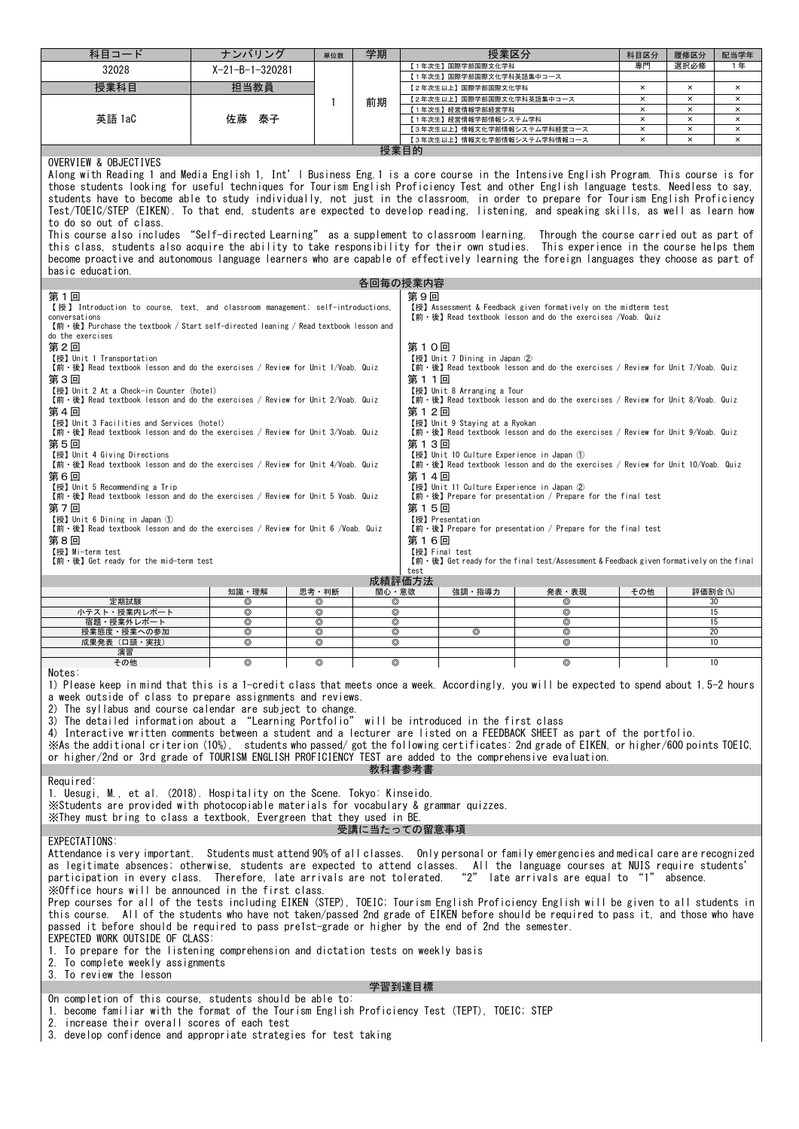| 科目コード                                                                                                                                                                                                                                                                                                                                                                                                                                                                                                                                                                                                                                                                                                                                                                                                                                                                                                                                                                                                                                                                                                                                                                                                                                                                                                                                                                                                  | ナンバリング            | 単位数             | 学期                       |                                                                       | 授業区分                                                                                                                                                                    |                                                                                                                                                                                                                | 科目区分                                                                                                                                                                                                                                                                                                                                                                       | 履修区分                                    | 配当学年                       |  |  |  |
|--------------------------------------------------------------------------------------------------------------------------------------------------------------------------------------------------------------------------------------------------------------------------------------------------------------------------------------------------------------------------------------------------------------------------------------------------------------------------------------------------------------------------------------------------------------------------------------------------------------------------------------------------------------------------------------------------------------------------------------------------------------------------------------------------------------------------------------------------------------------------------------------------------------------------------------------------------------------------------------------------------------------------------------------------------------------------------------------------------------------------------------------------------------------------------------------------------------------------------------------------------------------------------------------------------------------------------------------------------------------------------------------------------|-------------------|-----------------|--------------------------|-----------------------------------------------------------------------|-------------------------------------------------------------------------------------------------------------------------------------------------------------------------|----------------------------------------------------------------------------------------------------------------------------------------------------------------------------------------------------------------|----------------------------------------------------------------------------------------------------------------------------------------------------------------------------------------------------------------------------------------------------------------------------------------------------------------------------------------------------------------------------|-----------------------------------------|----------------------------|--|--|--|
| 32028                                                                                                                                                                                                                                                                                                                                                                                                                                                                                                                                                                                                                                                                                                                                                                                                                                                                                                                                                                                                                                                                                                                                                                                                                                                                                                                                                                                                  | $X-21-B-1-320281$ |                 |                          | 専門<br>選択必修<br>1年<br>【1年次生】国際学部国際文化学科<br>【1年次生】国際学部国際文化学科英語集中コース       |                                                                                                                                                                         |                                                                                                                                                                                                                |                                                                                                                                                                                                                                                                                                                                                                            |                                         |                            |  |  |  |
| 授業科目                                                                                                                                                                                                                                                                                                                                                                                                                                                                                                                                                                                                                                                                                                                                                                                                                                                                                                                                                                                                                                                                                                                                                                                                                                                                                                                                                                                                   | 担当教員              |                 |                          |                                                                       | 【2年次生以上】国際学部国際文化学科                                                                                                                                                      |                                                                                                                                                                                                                | $\times$                                                                                                                                                                                                                                                                                                                                                                   | $\times$                                | $\times$                   |  |  |  |
|                                                                                                                                                                                                                                                                                                                                                                                                                                                                                                                                                                                                                                                                                                                                                                                                                                                                                                                                                                                                                                                                                                                                                                                                                                                                                                                                                                                                        |                   | 1               | 前期                       |                                                                       | 【2年次生以上】国際学部国際文化学科英語集中コース                                                                                                                                               |                                                                                                                                                                                                                | $\boldsymbol{\mathsf{x}}$<br>$\times$                                                                                                                                                                                                                                                                                                                                      | $\boldsymbol{\times}$<br>$\pmb{\times}$ | $\times$<br>$\pmb{\times}$ |  |  |  |
| 英語 1aC                                                                                                                                                                                                                                                                                                                                                                                                                                                                                                                                                                                                                                                                                                                                                                                                                                                                                                                                                                                                                                                                                                                                                                                                                                                                                                                                                                                                 | 泰子<br>佐藤          |                 |                          |                                                                       | 【1年次生】経営情報学部経営学科<br>【1年次生】経営情報学部情報システム学科                                                                                                                                |                                                                                                                                                                                                                | ×                                                                                                                                                                                                                                                                                                                                                                          | $\pmb{\times}$                          | $\pmb{\times}$             |  |  |  |
|                                                                                                                                                                                                                                                                                                                                                                                                                                                                                                                                                                                                                                                                                                                                                                                                                                                                                                                                                                                                                                                                                                                                                                                                                                                                                                                                                                                                        |                   |                 |                          |                                                                       | 【3年次生以上】情報文化学部情報システム学科経営コース                                                                                                                                             |                                                                                                                                                                                                                | $\times$                                                                                                                                                                                                                                                                                                                                                                   | $\boldsymbol{\times}$                   | $\pmb{\times}$             |  |  |  |
|                                                                                                                                                                                                                                                                                                                                                                                                                                                                                                                                                                                                                                                                                                                                                                                                                                                                                                                                                                                                                                                                                                                                                                                                                                                                                                                                                                                                        |                   |                 |                          | 授業目的                                                                  | 【3年次生以上】情報文化学部情報システム学科情報コース                                                                                                                                             |                                                                                                                                                                                                                | $\pmb{\times}$                                                                                                                                                                                                                                                                                                                                                             | $\boldsymbol{\times}$                   | $\pmb{\times}$             |  |  |  |
| OVERVIEW & OBJECTIVES<br>Along with Reading 1 and Media English 1, Int'l Business Eng.1 is a core course in the Intensive English Program. This course is for<br>those students looking for useful techniques for Tourism English Proficiency Test and other English language tests. Needless to say,<br>students have to become able to study individually, not just in the classroom, in order to prepare for Tourism English Proficiency<br>Test/TOEIC/STEP (EIKEN). To that end, students are expected to develop reading, listening, and speaking skills, as well as learn how<br>to do so out of class.<br>This course also includes "Self-directed Learning" as a supplement to classroom learning. Through the course carried out as part of<br>this class, students also acquire the ability to take responsibility for their own studies. This experience in the course helps them<br>become proactive and autonomous language learners who are capable of effectively learning the foreign languages they choose as part of<br>basic education.<br>第1回<br>【授】 Introduction to course, text, and classroom management; self-introductions,<br>conversations<br>【前・後】Purchase the textbook / Start self-directed leaning / Read textbook lesson and<br>do the exercises<br>第2回<br>【授】 Unit 1 Transportation<br>【前·後】 Read textbook lesson and do the exercises / Review for Unit 1/Voab. Quiz |                   |                 |                          | 各回毎の授業内容<br>第9回<br>第10回                                               | 【授】 Unit 7 Dining in Japan ②                                                                                                                                            | 【授】Assessment & Feedback given formatively on the midterm test<br>【前·後】Read textbook lesson and do the exercises /Voab. Quiz<br>【前·後】 Read textbook lesson and do the exercises / Review for Unit 7/Voab. Quiz |                                                                                                                                                                                                                                                                                                                                                                            |                                         |                            |  |  |  |
| 第3回<br>【授】Unit 2 At a Check-in Counter (hotel)<br>【前·後】 Read textbook lesson and do the exercises / Review for Unit 2/Voab. Quiz<br>第4回<br>【授】 Unit 3 Facilities and Services (hotel)<br>【前·後】 Read textbook lesson and do the exercises / Review for Unit 3/Voab. Quiz<br>第5回<br>【授】Unit 4 Giving Directions<br>【前·後】 Read textbook lesson and do the exercises / Review for Unit 4/Voab. Quiz<br>第6回<br>【授】Unit 5 Recommending a Trip<br>【前·後】 Read textbook lesson and do the exercises / Review for Unit 5 Voab. Quiz<br>第7回<br>【授】Unit 6 Dining in Japan ①<br>$[\hat{m} \cdot \hat{\mathcal{E}}]$ Read textbook lesson and do the exercises / Review for Unit 6 /Voab. Quiz<br>第8回<br>【授】Mi-term test<br>【前·後】Get ready for the mid-term test                                                                                                                                                                                                                                                                                                                                                                                                                                                                                                                                                                                                                                                     |                   |                 |                          | 第11回<br>第12回<br>第13回<br>第14回<br>第15回<br>第16回<br>【授】Final test<br>test | 【授】Unit 8 Arranging a Tour<br>【授】 Unit 9 Staying at a Ryokan<br>【授】Unit 10 Culture Experience in Japan ①<br>【授】Unit 11 Culture Experience in Japan ②<br>【授】Presentation | 【前 · 後】 Prepare for presentation / Prepare for the final test<br>【前 · 後】 Prepare for presentation / Prepare for the final test                                                                                 | 【前·後】 Read textbook lesson and do the exercises / Review for Unit 8/Voab. Quiz<br>$[\hat{m} \cdot \hat{\mathcal{E}}]$ Read textbook lesson and do the exercises / Review for Unit 9/Voab. Quiz<br>【前·後】Read textbook lesson and do the exercises / Review for Unit 10/Voab. Quiz<br>【前·後】Get ready for the final test/Assessment & Feedback given formatively on the final |                                         |                            |  |  |  |
|                                                                                                                                                                                                                                                                                                                                                                                                                                                                                                                                                                                                                                                                                                                                                                                                                                                                                                                                                                                                                                                                                                                                                                                                                                                                                                                                                                                                        |                   |                 |                          | 成績評価方法                                                                |                                                                                                                                                                         |                                                                                                                                                                                                                |                                                                                                                                                                                                                                                                                                                                                                            |                                         |                            |  |  |  |
| 定期試験                                                                                                                                                                                                                                                                                                                                                                                                                                                                                                                                                                                                                                                                                                                                                                                                                                                                                                                                                                                                                                                                                                                                                                                                                                                                                                                                                                                                   | 知識・理解<br>⊚        | 思考・判断<br>⊚      | 関心・意欲<br>⊚               |                                                                       | 強調・指導力                                                                                                                                                                  | 発表・表現<br>⊚                                                                                                                                                                                                     | その他                                                                                                                                                                                                                                                                                                                                                                        | 評価割合(%)<br>30                           |                            |  |  |  |
| 小テスト・授業内レポート                                                                                                                                                                                                                                                                                                                                                                                                                                                                                                                                                                                                                                                                                                                                                                                                                                                                                                                                                                                                                                                                                                                                                                                                                                                                                                                                                                                           | ⊚                 | ⊚               | $^{\circ}$               |                                                                       |                                                                                                                                                                         | ⊚                                                                                                                                                                                                              |                                                                                                                                                                                                                                                                                                                                                                            | 15                                      |                            |  |  |  |
| 宿題・授業外レポート<br>授業態度・授業への参加                                                                                                                                                                                                                                                                                                                                                                                                                                                                                                                                                                                                                                                                                                                                                                                                                                                                                                                                                                                                                                                                                                                                                                                                                                                                                                                                                                              | $^{\circ}$<br>⊚   | $^{\circ}$<br>⊚ | $^{\circ}$<br>$^{\circ}$ |                                                                       | $^{\circ}$                                                                                                                                                              | ⊚<br>⊚                                                                                                                                                                                                         |                                                                                                                                                                                                                                                                                                                                                                            | 15<br>20                                |                            |  |  |  |
| 成果発表(口頭・実技)                                                                                                                                                                                                                                                                                                                                                                                                                                                                                                                                                                                                                                                                                                                                                                                                                                                                                                                                                                                                                                                                                                                                                                                                                                                                                                                                                                                            | $^{\circ}$        | ◎               | $^{\circ}$               |                                                                       |                                                                                                                                                                         | ◎                                                                                                                                                                                                              |                                                                                                                                                                                                                                                                                                                                                                            | 10                                      |                            |  |  |  |
| 演習<br>その他                                                                                                                                                                                                                                                                                                                                                                                                                                                                                                                                                                                                                                                                                                                                                                                                                                                                                                                                                                                                                                                                                                                                                                                                                                                                                                                                                                                              | ⊚                 | ⊚               | $\circledcirc$           |                                                                       |                                                                                                                                                                         | ⊚                                                                                                                                                                                                              |                                                                                                                                                                                                                                                                                                                                                                            | 10                                      |                            |  |  |  |
| Notes:<br>1) Please keep in mind that this is a 1-credit class that meets once a week. Accordingly, you will be expected to spend about 1.5-2 hours<br>a week outside of class to prepare assignments and reviews.<br>2) The syllabus and course calendar are subject to change.<br>3) The detailed information about a "Learning Portfolio" will be introduced in the first class<br>4) Interactive written comments between a student and a lecturer are listed on a FEEDBACK SHEET as part of the portfolio.<br>※As the additional criterion (10%), students who passed/got the following certificates: 2nd grade of EIKEN, or higher/600 points TOEIC,<br>or higher/2nd or 3rd grade of TOURISM ENGLISH PROFICIENCY TEST are added to the comprehensive evaluation.<br>教科書参考書<br>Required:                                                                                                                                                                                                                                                                                                                                                                                                                                                                                                                                                                                                         |                   |                 |                          |                                                                       |                                                                                                                                                                         |                                                                                                                                                                                                                |                                                                                                                                                                                                                                                                                                                                                                            |                                         |                            |  |  |  |
| 1. Uesugi, M., et al. (2018). Hospitality on the Scene. Tokyo: Kinseido.<br>X Students are provided with photocopiable materials for vocabulary & grammar quizzes.<br>XThey must bring to class a textbook. Evergreen that they used in BE.<br>受講に当たっての留意事項                                                                                                                                                                                                                                                                                                                                                                                                                                                                                                                                                                                                                                                                                                                                                                                                                                                                                                                                                                                                                                                                                                                                            |                   |                 |                          |                                                                       |                                                                                                                                                                         |                                                                                                                                                                                                                |                                                                                                                                                                                                                                                                                                                                                                            |                                         |                            |  |  |  |
| EXPECTATIONS:<br>Attendance is very important. Students must attend 90% of all classes. Only personal or family emergencies and medical care are recognized<br>as legitimate absences; otherwise, students are expected to attend classes. All the language courses at NUIS require students'<br>participation in every class. Therefore, late arrivals are not tolerated.<br>XOffice hours will be announced in the first class.<br>Prep courses for all of the tests including EIKEN (STEP), TOEIC; Tourism English Proficiency English will be given to all students in<br>this course. All of the students who have not taken/passed 2nd grade of EIKEN before should be required to pass it, and those who have<br>passed it before should be required to pass pre1st-grade or higher by the end of 2nd the semester.<br>EXPECTED WORK OUTSIDE OF CLASS:<br>1. To prepare for the listening comprehension and dictation tests on weekly basis<br>2. To complete weekly assignments<br>3. To review the lesson                                                                                                                                                                                                                                                                                                                                                                                     |                   |                 |                          |                                                                       |                                                                                                                                                                         | "2" late arrivals are equal to "1" absence.                                                                                                                                                                    |                                                                                                                                                                                                                                                                                                                                                                            |                                         |                            |  |  |  |
|                                                                                                                                                                                                                                                                                                                                                                                                                                                                                                                                                                                                                                                                                                                                                                                                                                                                                                                                                                                                                                                                                                                                                                                                                                                                                                                                                                                                        |                   |                 |                          | 学習到達目標                                                                |                                                                                                                                                                         |                                                                                                                                                                                                                |                                                                                                                                                                                                                                                                                                                                                                            |                                         |                            |  |  |  |
| On completion of this course, students should be able to:<br>1. become familiar with the format of the Tourism English Proficiency Test (TEPT), TOEIC; STEP                                                                                                                                                                                                                                                                                                                                                                                                                                                                                                                                                                                                                                                                                                                                                                                                                                                                                                                                                                                                                                                                                                                                                                                                                                            |                   |                 |                          |                                                                       |                                                                                                                                                                         |                                                                                                                                                                                                                |                                                                                                                                                                                                                                                                                                                                                                            |                                         |                            |  |  |  |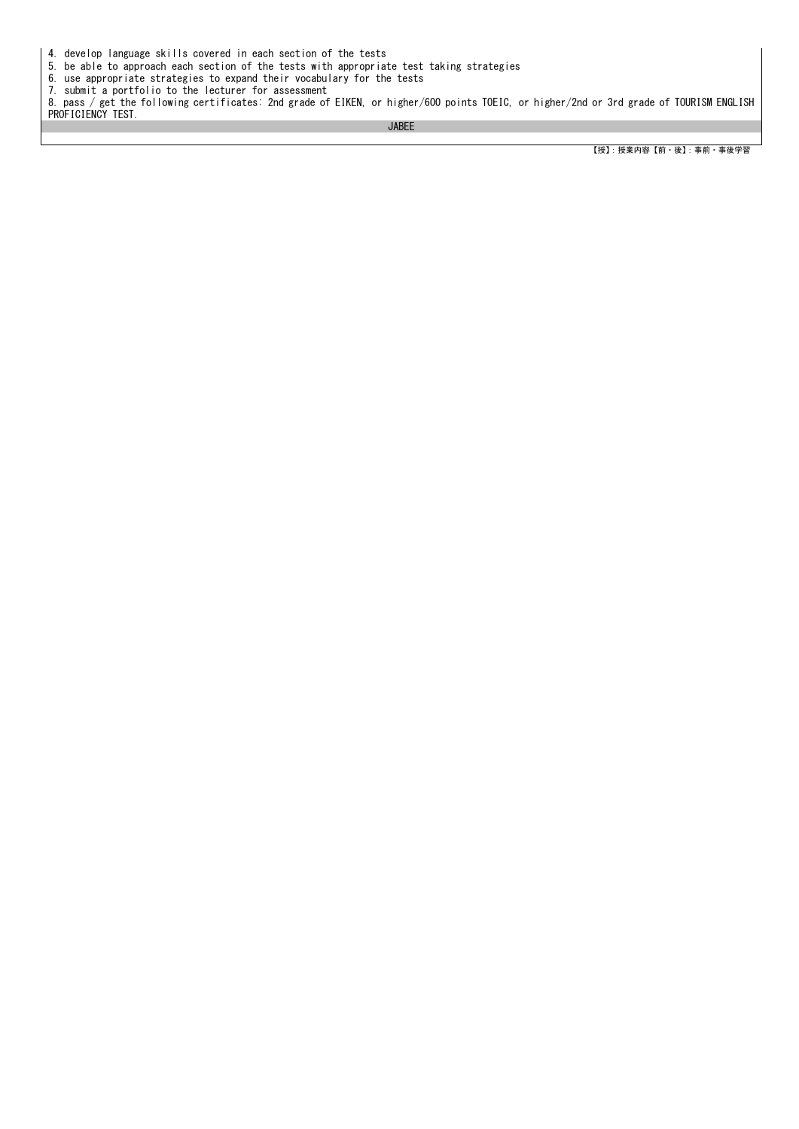4. develop language skills covered in each section of the tests

5. be able to approach each section of the tests with appropriate test taking strategies

6. use appropriate strategies to expand their vocabulary for the tests

7. submit a portfolio to the lecturer for assessment 8. pass / get the following certificates: 2nd grade of EIKEN, or higher/600 points TOEIC, or higher/2nd or 3rd grade of TOURISM ENGLISH PROFICIENCY TEST.

JABEE

【授】:授業内容【前・後】:事前・事後学習